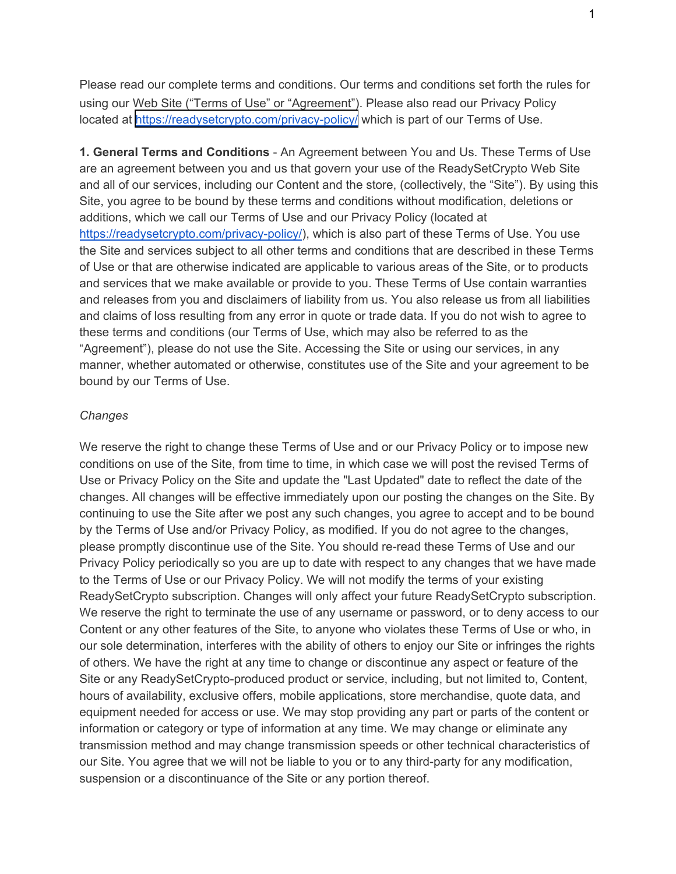Please read our complete terms and conditions. Our terms and conditions set forth the rules for using our Web Site ("Terms of Use" or "Agreement"). Please also read our Privacy Policy located at https://readysetcrypto.com/privacy-policy/ which is part of our Terms of Use.

**1. General Terms and Conditions** - An Agreement between You and Us. These Terms of Use are an agreement between you and us that govern your use of the ReadySetCrypto Web Site and all of our services, including our Content and the store, (collectively, the "Site"). By using this Site, you agree to be bound by these terms and conditions without modification, deletions or additions, which we call our Terms of Use and our Privacy Policy (located at https://readysetcrypto.com/privacy-policy/), which is also part of these Terms of Use. You use the Site and services subject to all other terms and conditions that are described in these Terms of Use or that are otherwise indicated are applicable to various areas of the Site, or to products and services that we make available or provide to you. These Terms of Use contain warranties and releases from you and disclaimers of liability from us. You also release us from all liabilities and claims of loss resulting from any error in quote or trade data. If you do not wish to agree to these terms and conditions (our Terms of Use, which may also be referred to as the "Agreement"), please do not use the Site. Accessing the Site or using our services, in any manner, whether automated or otherwise, constitutes use of the Site and your agreement to be bound by our Terms of Use.

### *Changes*

We reserve the right to change these Terms of Use and or our Privacy Policy or to impose new conditions on use of the Site, from time to time, in which case we will post the revised Terms of Use or Privacy Policy on the Site and update the "Last Updated" date to reflect the date of the changes. All changes will be effective immediately upon our posting the changes on the Site. By continuing to use the Site after we post any such changes, you agree to accept and to be bound by the Terms of Use and/or Privacy Policy, as modified. If you do not agree to the changes, please promptly discontinue use of the Site. You should re-read these Terms of Use and our Privacy Policy periodically so you are up to date with respect to any changes that we have made to the Terms of Use or our Privacy Policy. We will not modify the terms of your existing ReadySetCrypto subscription. Changes will only affect your future ReadySetCrypto subscription. We reserve the right to terminate the use of any username or password, or to deny access to our Content or any other features of the Site, to anyone who violates these Terms of Use or who, in our sole determination, interferes with the ability of others to enjoy our Site or infringes the rights of others. We have the right at any time to change or discontinue any aspect or feature of the Site or any ReadySetCrypto-produced product or service, including, but not limited to, Content, hours of availability, exclusive offers, mobile applications, store merchandise, quote data, and equipment needed for access or use. We may stop providing any part or parts of the content or information or category or type of information at any time. We may change or eliminate any transmission method and may change transmission speeds or other technical characteristics of our Site. You agree that we will not be liable to you or to any third-party for any modification, suspension or a discontinuance of the Site or any portion thereof.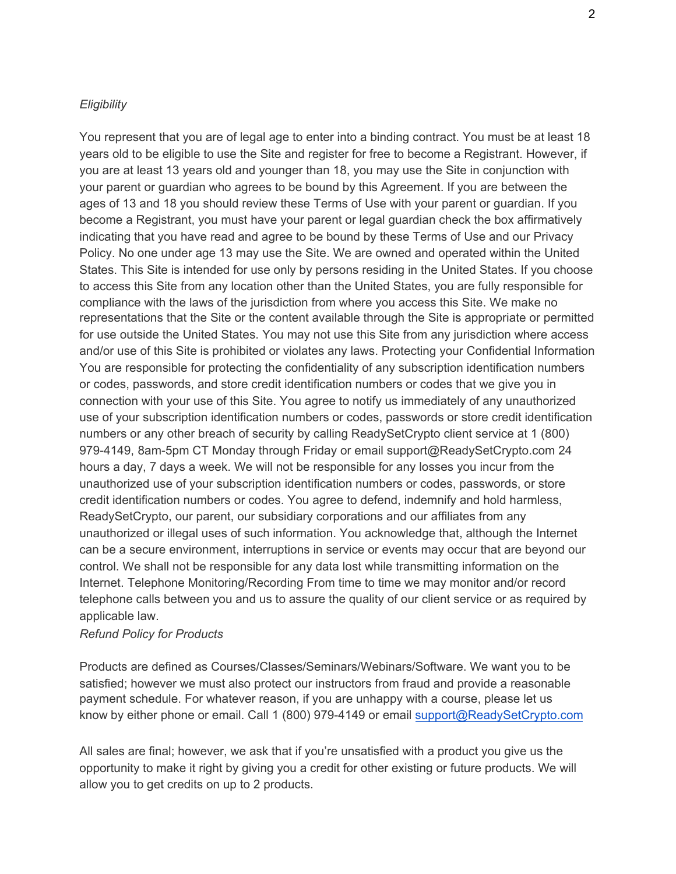#### *Eligibility*

You represent that you are of legal age to enter into a binding contract. You must be at least 18 years old to be eligible to use the Site and register for free to become a Registrant. However, if you are at least 13 years old and younger than 18, you may use the Site in conjunction with your parent or guardian who agrees to be bound by this Agreement. If you are between the ages of 13 and 18 you should review these Terms of Use with your parent or guardian. If you become a Registrant, you must have your parent or legal guardian check the box affirmatively indicating that you have read and agree to be bound by these Terms of Use and our Privacy Policy. No one under age 13 may use the Site. We are owned and operated within the United States. This Site is intended for use only by persons residing in the United States. If you choose to access this Site from any location other than the United States, you are fully responsible for compliance with the laws of the jurisdiction from where you access this Site. We make no representations that the Site or the content available through the Site is appropriate or permitted for use outside the United States. You may not use this Site from any jurisdiction where access and/or use of this Site is prohibited or violates any laws. Protecting your Confidential Information You are responsible for protecting the confidentiality of any subscription identification numbers or codes, passwords, and store credit identification numbers or codes that we give you in connection with your use of this Site. You agree to notify us immediately of any unauthorized use of your subscription identification numbers or codes, passwords or store credit identification numbers or any other breach of security by calling ReadySetCrypto client service at 1 (800) 979-4149, 8am-5pm CT Monday through Friday or email support@ReadySetCrypto.com 24 hours a day, 7 days a week. We will not be responsible for any losses you incur from the unauthorized use of your subscription identification numbers or codes, passwords, or store credit identification numbers or codes. You agree to defend, indemnify and hold harmless, ReadySetCrypto, our parent, our subsidiary corporations and our affiliates from any unauthorized or illegal uses of such information. You acknowledge that, although the Internet can be a secure environment, interruptions in service or events may occur that are beyond our control. We shall not be responsible for any data lost while transmitting information on the Internet. Telephone Monitoring/Recording From time to time we may monitor and/or record telephone calls between you and us to assure the quality of our client service or as required by applicable law.

#### *Refund Policy for Products*

Products are defined as Courses/Classes/Seminars/Webinars/Software. We want you to be satisfied; however we must also protect our instructors from fraud and provide a reasonable payment schedule. For whatever reason, if you are unhappy with a course, please let us know by either phone or email. Call 1 (800) 979-4149 or email support@ReadySetCrypto.com

All sales are final; however, we ask that if you're unsatisfied with a product you give us the opportunity to make it right by giving you a credit for other existing or future products. We will allow you to get credits on up to 2 products.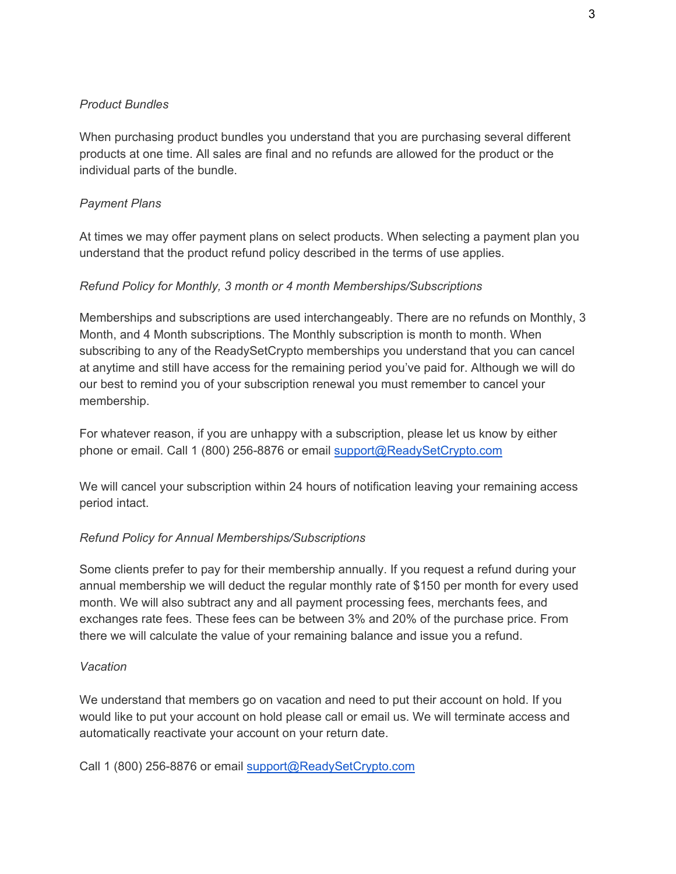## *Product Bundles*

When purchasing product bundles you understand that you are purchasing several different products at one time. All sales are final and no refunds are allowed for the product or the individual parts of the bundle.

# *Payment Plans*

At times we may offer payment plans on select products. When selecting a payment plan you understand that the product refund policy described in the terms of use applies.

## *Refund Policy for Monthly, 3 month or 4 month Memberships/Subscriptions*

Memberships and subscriptions are used interchangeably. There are no refunds on Monthly, 3 Month, and 4 Month subscriptions. The Monthly subscription is month to month. When subscribing to any of the ReadySetCrypto memberships you understand that you can cancel at anytime and still have access for the remaining period you've paid for. Although we will do our best to remind you of your subscription renewal you must remember to cancel your membership.

For whatever reason, if you are unhappy with a subscription, please let us know by either phone or email. Call 1 (800) 256-8876 or email support@ReadySetCrypto.com

We will cancel your subscription within 24 hours of notification leaving your remaining access period intact.

### *Refund Policy for Annual Memberships/Subscriptions*

Some clients prefer to pay for their membership annually. If you request a refund during your annual membership we will deduct the regular monthly rate of \$150 per month for every used month. We will also subtract any and all payment processing fees, merchants fees, and exchanges rate fees. These fees can be between 3% and 20% of the purchase price. From there we will calculate the value of your remaining balance and issue you a refund.

### *Vacation*

We understand that members go on vacation and need to put their account on hold. If you would like to put your account on hold please call or email us. We will terminate access and automatically reactivate your account on your return date.

Call 1 (800) 256-8876 or email support@ReadySetCrypto.com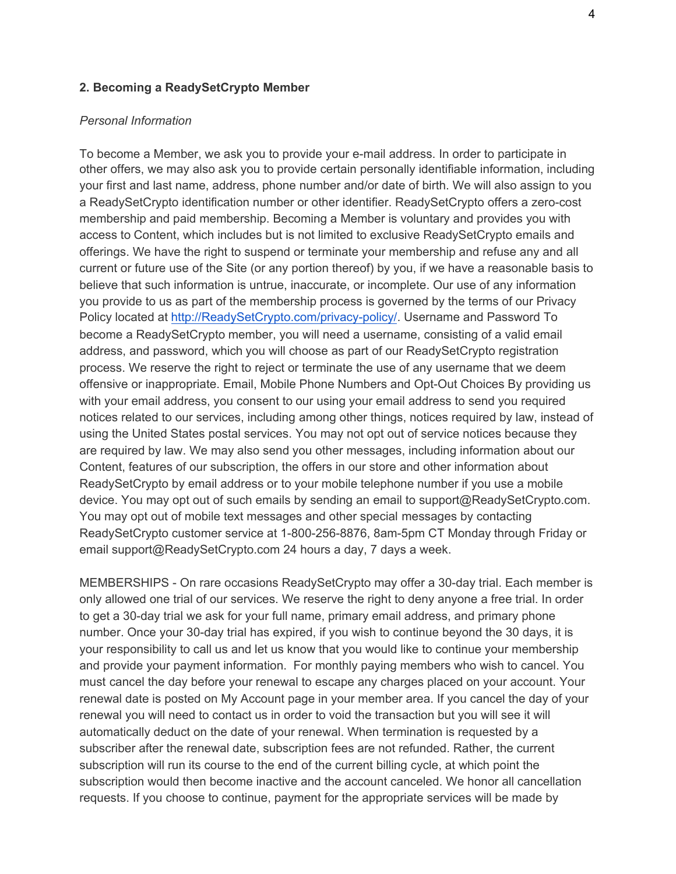#### **2. Becoming a ReadySetCrypto Member**

#### *Personal Information*

To become a Member, we ask you to provide your e-mail address. In order to participate in other offers, we may also ask you to provide certain personally identifiable information, including your first and last name, address, phone number and/or date of birth. We will also assign to you a ReadySetCrypto identification number or other identifier. ReadySetCrypto offers a zero-cost membership and paid membership. Becoming a Member is voluntary and provides you with access to Content, which includes but is not limited to exclusive ReadySetCrypto emails and offerings. We have the right to suspend or terminate your membership and refuse any and all current or future use of the Site (or any portion thereof) by you, if we have a reasonable basis to believe that such information is untrue, inaccurate, or incomplete. Our use of any information you provide to us as part of the membership process is governed by the terms of our Privacy Policy located at http://ReadySetCrypto.com/privacy-policy/. Username and Password To become a ReadySetCrypto member, you will need a username, consisting of a valid email address, and password, which you will choose as part of our ReadySetCrypto registration process. We reserve the right to reject or terminate the use of any username that we deem offensive or inappropriate. Email, Mobile Phone Numbers and Opt-Out Choices By providing us with your email address, you consent to our using your email address to send you required notices related to our services, including among other things, notices required by law, instead of using the United States postal services. You may not opt out of service notices because they are required by law. We may also send you other messages, including information about our Content, features of our subscription, the offers in our store and other information about ReadySetCrypto by email address or to your mobile telephone number if you use a mobile device. You may opt out of such emails by sending an email to support@ReadySetCrypto.com. You may opt out of mobile text messages and other special messages by contacting ReadySetCrypto customer service at 1-800-256-8876, 8am-5pm CT Monday through Friday or email support@ReadySetCrypto.com 24 hours a day, 7 days a week.

MEMBERSHIPS - On rare occasions ReadySetCrypto may offer a 30-day trial. Each member is only allowed one trial of our services. We reserve the right to deny anyone a free trial. In order to get a 30-day trial we ask for your full name, primary email address, and primary phone number. Once your 30-day trial has expired, if you wish to continue beyond the 30 days, it is your responsibility to call us and let us know that you would like to continue your membership and provide your payment information. For monthly paying members who wish to cancel. You must cancel the day before your renewal to escape any charges placed on your account. Your renewal date is posted on My Account page in your member area. If you cancel the day of your renewal you will need to contact us in order to void the transaction but you will see it will automatically deduct on the date of your renewal. When termination is requested by a subscriber after the renewal date, subscription fees are not refunded. Rather, the current subscription will run its course to the end of the current billing cycle, at which point the subscription would then become inactive and the account canceled. We honor all cancellation requests. If you choose to continue, payment for the appropriate services will be made by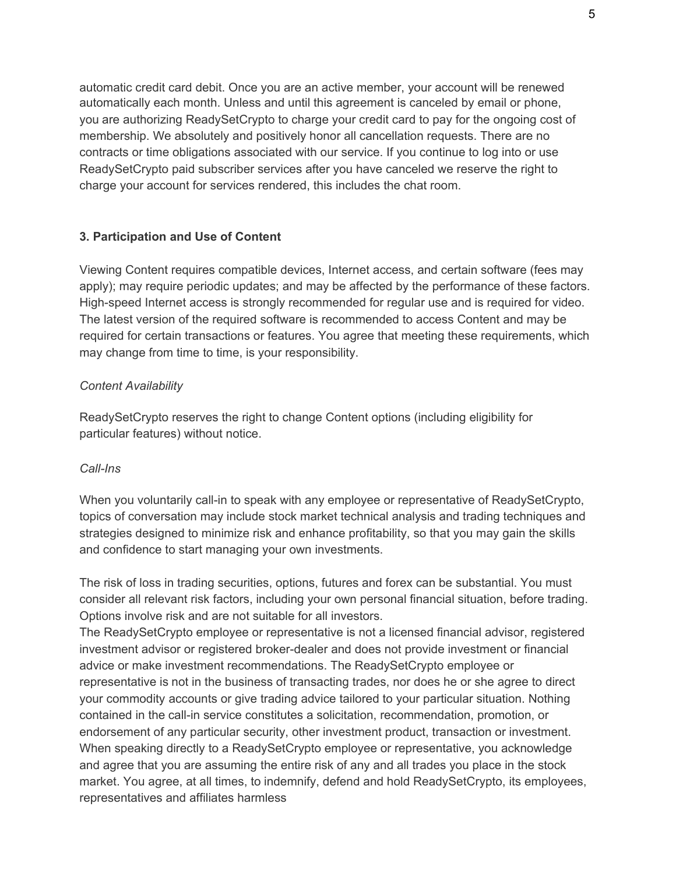automatic credit card debit. Once you are an active member, your account will be renewed automatically each month. Unless and until this agreement is canceled by email or phone, you are authorizing ReadySetCrypto to charge your credit card to pay for the ongoing cost of membership. We absolutely and positively honor all cancellation requests. There are no contracts or time obligations associated with our service. If you continue to log into or use ReadySetCrypto paid subscriber services after you have canceled we reserve the right to charge your account for services rendered, this includes the chat room.

### **3. Participation and Use of Content**

Viewing Content requires compatible devices, Internet access, and certain software (fees may apply); may require periodic updates; and may be affected by the performance of these factors. High-speed Internet access is strongly recommended for regular use and is required for video. The latest version of the required software is recommended to access Content and may be required for certain transactions or features. You agree that meeting these requirements, which may change from time to time, is your responsibility.

### *Content Availability*

ReadySetCrypto reserves the right to change Content options (including eligibility for particular features) without notice.

### *Call-Ins*

When you voluntarily call-in to speak with any employee or representative of ReadySetCrypto, topics of conversation may include stock market technical analysis and trading techniques and strategies designed to minimize risk and enhance profitability, so that you may gain the skills and confidence to start managing your own investments.

The risk of loss in trading securities, options, futures and forex can be substantial. You must consider all relevant risk factors, including your own personal financial situation, before trading. Options involve risk and are not suitable for all investors.

The ReadySetCrypto employee or representative is not a licensed financial advisor, registered investment advisor or registered broker-dealer and does not provide investment or financial advice or make investment recommendations. The ReadySetCrypto employee or representative is not in the business of transacting trades, nor does he or she agree to direct your commodity accounts or give trading advice tailored to your particular situation. Nothing contained in the call-in service constitutes a solicitation, recommendation, promotion, or endorsement of any particular security, other investment product, transaction or investment. When speaking directly to a ReadySetCrypto employee or representative, you acknowledge and agree that you are assuming the entire risk of any and all trades you place in the stock market. You agree, at all times, to indemnify, defend and hold ReadySetCrypto, its employees, representatives and affiliates harmless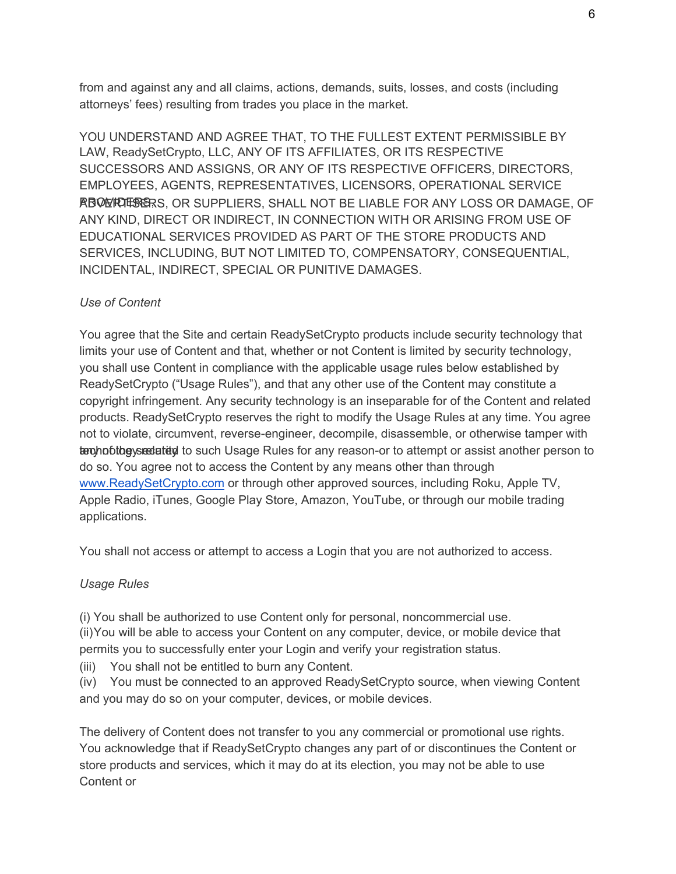from and against any and all claims, actions, demands, suits, losses, and costs (including attorneys' fees) resulting from trades you place in the market.

YOU UNDERSTAND AND AGREE THAT, TO THE FULLEST EXTENT PERMISSIBLE BY LAW, ReadySetCrypto, LLC, ANY OF ITS AFFILIATES, OR ITS RESPECTIVE SUCCESSORS AND ASSIGNS, OR ANY OF ITS RESPECTIVE OFFICERS, DIRECTORS, EMPLOYEES, AGENTS, REPRESENTATIVES, LICENSORS, OPERATIONAL SERVICE RBOLT FOR SUPPLIERS, SHALL NOT BE LIABLE FOR ANY LOSS OR DAMAGE, OF ANY KIND, DIRECT OR INDIRECT, IN CONNECTION WITH OR ARISING FROM USE OF EDUCATIONAL SERVICES PROVIDED AS PART OF THE STORE PRODUCTS AND SERVICES, INCLUDING, BUT NOT LIMITED TO, COMPENSATORY, CONSEQUENTIAL, INCIDENTAL, INDIRECT, SPECIAL OR PUNITIVE DAMAGES.

### *Use of Content*

You agree that the Site and certain ReadySetCrypto products include security technology that limits your use of Content and that, whether or not Content is limited by security technology, you shall use Content in compliance with the applicable usage rules below established by ReadySetCrypto ("Usage Rules"), and that any other use of the Content may constitute a copyright infringement. Any security technology is an inseparable for of the Content and related products. ReadySetCrypto reserves the right to modify the Usage Rules at any time. You agree not to violate, circumvent, reverse-engineer, decompile, disassemble, or otherwise tamper with terchnobibe securities to such Usage Rules for any reason-or to attempt or assist another person to do so. You agree not to access the Content by any means other than through www.ReadySetCrypto.com or through other approved sources, including Roku, Apple TV, Apple Radio, iTunes, Google Play Store, Amazon, YouTube, or through our mobile trading applications.

You shall not access or attempt to access a Login that you are not authorized to access.

### *Usage Rules*

(i) You shall be authorized to use Content only for personal, noncommercial use. (ii)You will be able to access your Content on any computer, device, or mobile device that permits you to successfully enter your Login and verify your registration status.

(iii) You shall not be entitled to burn any Content.

(iv) You must be connected to an approved ReadySetCrypto source, when viewing Content and you may do so on your computer, devices, or mobile devices.

The delivery of Content does not transfer to you any commercial or promotional use rights. You acknowledge that if ReadySetCrypto changes any part of or discontinues the Content or store products and services, which it may do at its election, you may not be able to use Content or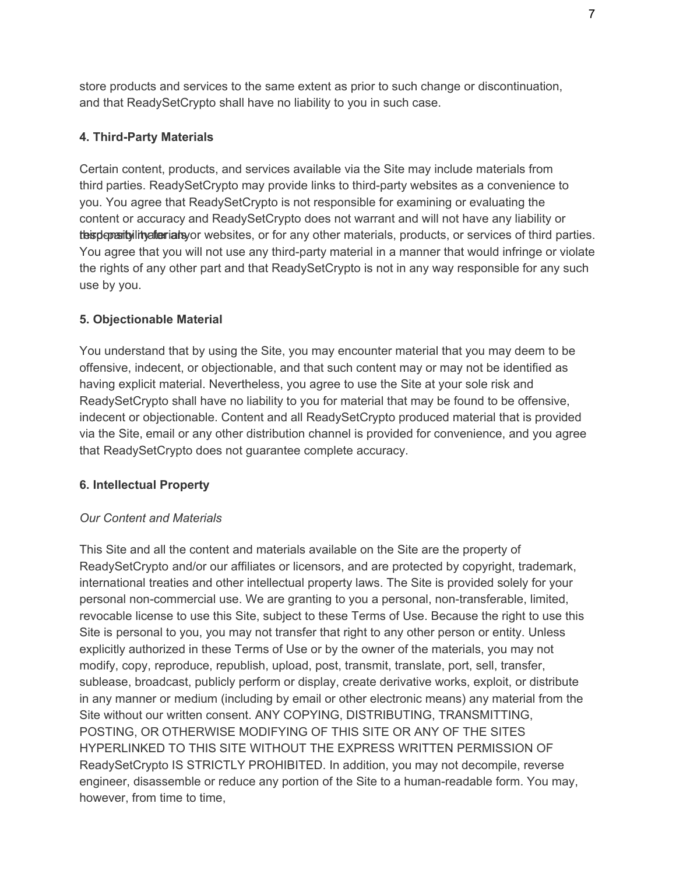store products and services to the same extent as prior to such change or discontinuation, and that ReadySetCrypto shall have no liability to you in such case.

# **4. Third-Party Materials**

Certain content, products, and services available via the Site may include materials from third parties. ReadySetCrypto may provide links to third-party websites as a convenience to you. You agree that ReadySetCrypto is not responsible for examining or evaluating the content or accuracy and ReadySetCrypto does not warrant and will not have any liability or the sum material terminate or websites, or for any other materials, products, or services of third parties. You agree that you will not use any third-party material in a manner that would infringe or violate the rights of any other part and that ReadySetCrypto is not in any way responsible for any such use by you.

# **5. Objectionable Material**

You understand that by using the Site, you may encounter material that you may deem to be offensive, indecent, or objectionable, and that such content may or may not be identified as having explicit material. Nevertheless, you agree to use the Site at your sole risk and ReadySetCrypto shall have no liability to you for material that may be found to be offensive, indecent or objectionable. Content and all ReadySetCrypto produced material that is provided via the Site, email or any other distribution channel is provided for convenience, and you agree that ReadySetCrypto does not guarantee complete accuracy.

# **6. Intellectual Property**

# *Our Content and Materials*

This Site and all the content and materials available on the Site are the property of ReadySetCrypto and/or our affiliates or licensors, and are protected by copyright, trademark, international treaties and other intellectual property laws. The Site is provided solely for your personal non-commercial use. We are granting to you a personal, non-transferable, limited, revocable license to use this Site, subject to these Terms of Use. Because the right to use this Site is personal to you, you may not transfer that right to any other person or entity. Unless explicitly authorized in these Terms of Use or by the owner of the materials, you may not modify, copy, reproduce, republish, upload, post, transmit, translate, port, sell, transfer, sublease, broadcast, publicly perform or display, create derivative works, exploit, or distribute in any manner or medium (including by email or other electronic means) any material from the Site without our written consent. ANY COPYING, DISTRIBUTING, TRANSMITTING, POSTING, OR OTHERWISE MODIFYING OF THIS SITE OR ANY OF THE SITES HYPERLINKED TO THIS SITE WITHOUT THE EXPRESS WRITTEN PERMISSION OF ReadySetCrypto IS STRICTLY PROHIBITED. In addition, you may not decompile, reverse engineer, disassemble or reduce any portion of the Site to a human-readable form. You may, however, from time to time.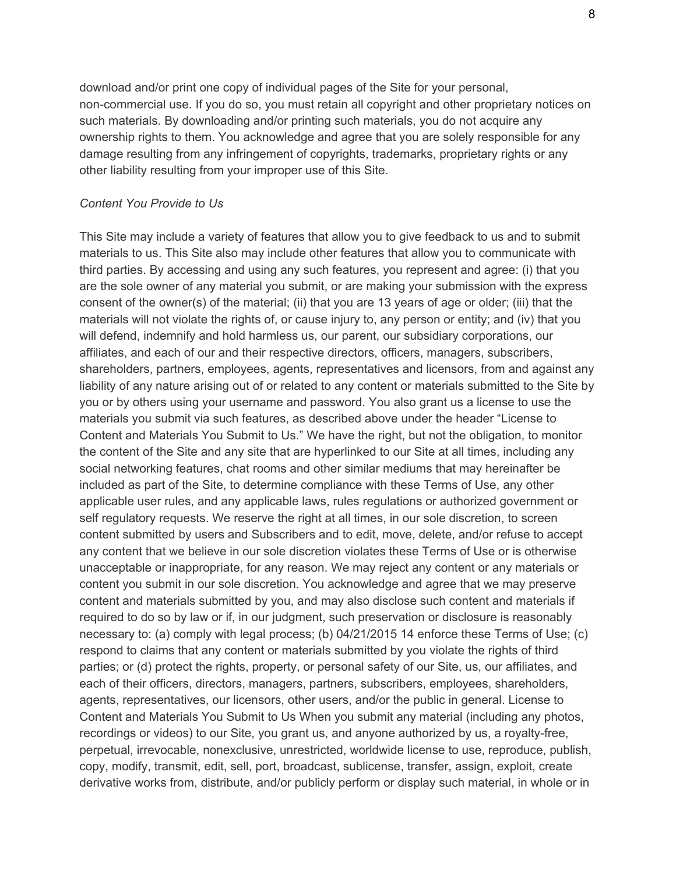download and/or print one copy of individual pages of the Site for your personal, non-commercial use. If you do so, you must retain all copyright and other proprietary notices on such materials. By downloading and/or printing such materials, you do not acquire any ownership rights to them. You acknowledge and agree that you are solely responsible for any damage resulting from any infringement of copyrights, trademarks, proprietary rights or any other liability resulting from your improper use of this Site.

#### *Content You Provide to Us*

This Site may include a variety of features that allow you to give feedback to us and to submit materials to us. This Site also may include other features that allow you to communicate with third parties. By accessing and using any such features, you represent and agree: (i) that you are the sole owner of any material you submit, or are making your submission with the express consent of the owner(s) of the material; (ii) that you are 13 years of age or older; (iii) that the materials will not violate the rights of, or cause injury to, any person or entity; and (iv) that you will defend, indemnify and hold harmless us, our parent, our subsidiary corporations, our affiliates, and each of our and their respective directors, officers, managers, subscribers, shareholders, partners, employees, agents, representatives and licensors, from and against any liability of any nature arising out of or related to any content or materials submitted to the Site by you or by others using your username and password. You also grant us a license to use the materials you submit via such features, as described above under the header "License to Content and Materials You Submit to Us." We have the right, but not the obligation, to monitor the content of the Site and any site that are hyperlinked to our Site at all times, including any social networking features, chat rooms and other similar mediums that may hereinafter be included as part of the Site, to determine compliance with these Terms of Use, any other applicable user rules, and any applicable laws, rules regulations or authorized government or self regulatory requests. We reserve the right at all times, in our sole discretion, to screen content submitted by users and Subscribers and to edit, move, delete, and/or refuse to accept any content that we believe in our sole discretion violates these Terms of Use or is otherwise unacceptable or inappropriate, for any reason. We may reject any content or any materials or content you submit in our sole discretion. You acknowledge and agree that we may preserve content and materials submitted by you, and may also disclose such content and materials if required to do so by law or if, in our judgment, such preservation or disclosure is reasonably necessary to: (a) comply with legal process; (b) 04/21/2015 14 enforce these Terms of Use; (c) respond to claims that any content or materials submitted by you violate the rights of third parties; or (d) protect the rights, property, or personal safety of our Site, us, our affiliates, and each of their officers, directors, managers, partners, subscribers, employees, shareholders, agents, representatives, our licensors, other users, and/or the public in general. License to Content and Materials You Submit to Us When you submit any material (including any photos, recordings or videos) to our Site, you grant us, and anyone authorized by us, a royalty-free, perpetual, irrevocable, nonexclusive, unrestricted, worldwide license to use, reproduce, publish, copy, modify, transmit, edit, sell, port, broadcast, sublicense, transfer, assign, exploit, create derivative works from, distribute, and/or publicly perform or display such material, in whole or in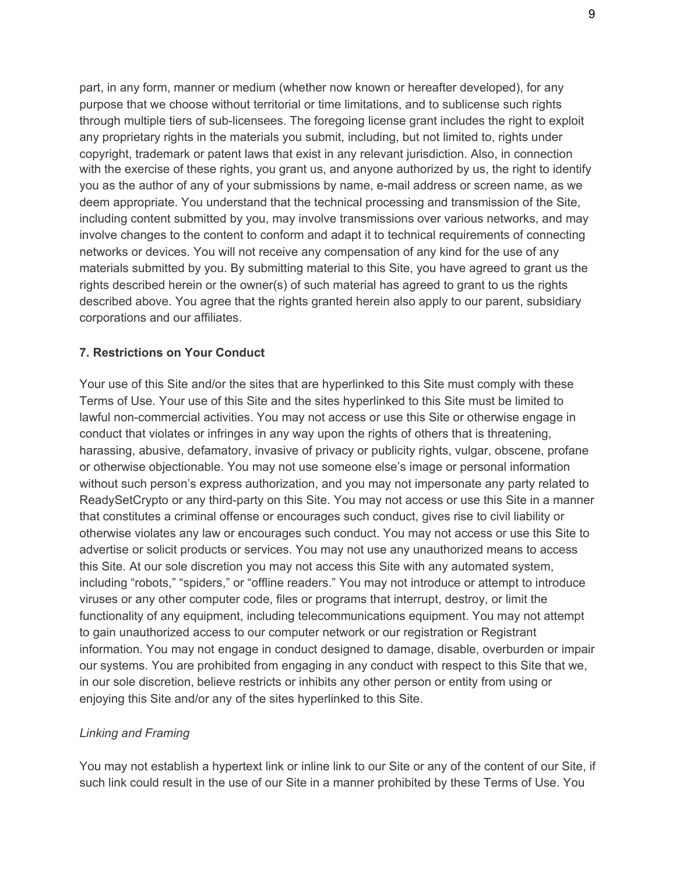part, in any form, manner or medium (whether now known or hereafter developed), for any purpose that we choose without territorial or time limitations, and to sublicense such rights through multiple tiers of sub-licensees. The foregoing license grant includes the right to exploit any proprietary rights in the materials you submit, including, but not limited to, rights under copyright, trademark or patent laws that exist in any relevant jurisdiction. Also, in connection with the exercise of these rights, you grant us, and anyone authorized by us, the right to identify you as the author of any of your submissions by name, e-mail address or screen name, as we deem appropriate. You understand that the technical processing and transmission of the Site, including content submitted by you, may involve transmissions over various networks, and may involve changes to the content to conform and adapt it to technical requirements of connecting networks or devices. You will not receive any compensation of any kind for the use of any materials submitted by you. By submitting material to this Site, you have agreed to grant us the rights described herein or the owner(s) of such material has agreed to grant to us the rights described above. You agree that the rights granted herein also apply to our parent, subsidiary corporations and our affiliates.

#### **7. Restrictions on Your Conduct**

Your use of this Site and/or the sites that are hyperlinked to this Site must comply with these Terms of Use. Your use of this Site and the sites hyperlinked to this Site must be limited to lawful non-commercial activities. You may not access or use this Site or otherwise engage in conduct that violates or infringes in any way upon the rights of others that is threatening, harassing, abusive, defamatory, invasive of privacy or publicity rights, vulgar, obscene, profane or otherwise objectionable. You may not use someone else's image or personal information without such person's express authorization, and you may not impersonate any party related to ReadySetCrypto or any third-party on this Site. You may not access or use this Site in a manner that constitutes a criminal offense or encourages such conduct, gives rise to civil liability or otherwise violates any law or encourages such conduct. You may not access or use this Site to advertise or solicit products or services. You may not use any unauthorized means to access this Site. At our sole discretion you may not access this Site with any automated system, including "robots," "spiders," or "offline readers." You may not introduce or attempt to introduce viruses or any other computer code, files or programs that interrupt, destroy, or limit the functionality of any equipment, including telecommunications equipment. You may not attempt to gain unauthorized access to our computer network or our registration or Registrant information. You may not engage in conduct designed to damage, disable, overburden or impair our systems. You are prohibited from engaging in any conduct with respect to this Site that we, in our sole discretion, believe restricts or inhibits any other person or entity from using or enjoying this Site and/or any of the sites hyperlinked to this Site.

#### *Linking and Framing*

You may not establish a hypertext link or inline link to our Site or any of the content of our Site, if such link could result in the use of our Site in a manner prohibited by these Terms of Use. You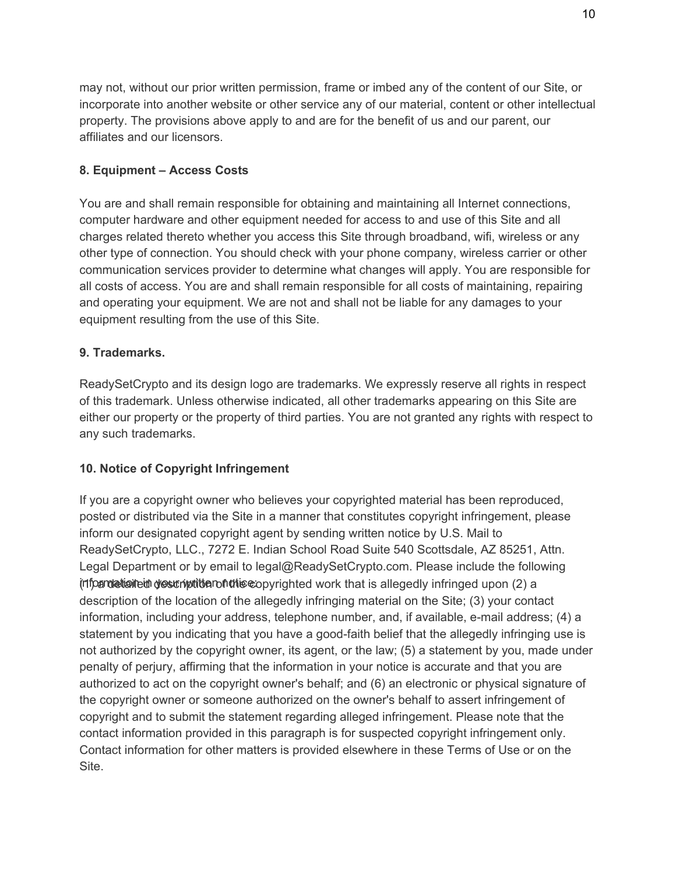may not, without our prior written permission, frame or imbed any of the content of our Site, or incorporate into another website or other service any of our material, content or other intellectual property. The provisions above apply to and are for the benefit of us and our parent, our affiliates and our licensors.

# **8. Equipment – Access Costs**

You are and shall remain responsible for obtaining and maintaining all Internet connections, computer hardware and other equipment needed for access to and use of this Site and all charges related thereto whether you access this Site through broadband, wifi, wireless or any other type of connection. You should check with your phone company, wireless carrier or other communication services provider to determine what changes will apply. You are responsible for all costs of access. You are and shall remain responsible for all costs of maintaining, repairing and operating your equipment. We are not and shall not be liable for any damages to your equipment resulting from the use of this Site.

# **9. Trademarks.**

ReadySetCrypto and its design logo are trademarks. We expressly reserve all rights in respect of this trademark. Unless otherwise indicated, all other trademarks appearing on this Site are either our property or the property of third parties. You are not granted any rights with respect to any such trademarks.

# **10. Notice of Copyright Infringement**

If you are a copyright owner who believes your copyrighted material has been reproduced, posted or distributed via the Site in a manner that constitutes copyright infringement, please inform our designated copyright agent by sending written notice by U.S. Mail to ReadySetCrypto, LLC., 7272 E. Indian School Road Suite 540 Scottsdale, AZ 85251, Attn. Legal Department or by email to legal@ReadySetCrypto.com. Please include the following information detailed description of the copyrighted work that is allegedly infringed upon (2) a description of the location of the allegedly infringing material on the Site; (3) your contact information, including your address, telephone number, and, if available, e-mail address; (4) a statement by you indicating that you have a good-faith belief that the allegedly infringing use is not authorized by the copyright owner, its agent, or the law; (5) a statement by you, made under penalty of perjury, affirming that the information in your notice is accurate and that you are authorized to act on the copyright owner's behalf; and (6) an electronic or physical signature of the copyright owner or someone authorized on the owner's behalf to assert infringement of copyright and to submit the statement regarding alleged infringement. Please note that the contact information provided in this paragraph is for suspected copyright infringement only. Contact information for other matters is provided elsewhere in these Terms of Use or on the Site.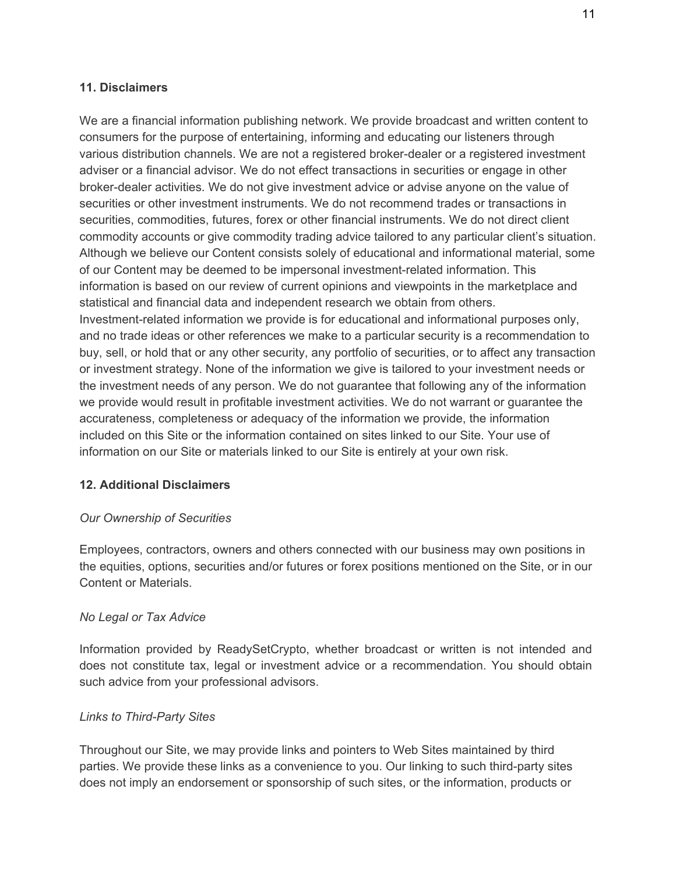#### **11. Disclaimers**

We are a financial information publishing network. We provide broadcast and written content to consumers for the purpose of entertaining, informing and educating our listeners through various distribution channels. We are not a registered broker-dealer or a registered investment adviser or a financial advisor. We do not effect transactions in securities or engage in other broker-dealer activities. We do not give investment advice or advise anyone on the value of securities or other investment instruments. We do not recommend trades or transactions in securities, commodities, futures, forex or other financial instruments. We do not direct client commodity accounts or give commodity trading advice tailored to any particular client's situation. Although we believe our Content consists solely of educational and informational material, some of our Content may be deemed to be impersonal investment-related information. This information is based on our review of current opinions and viewpoints in the marketplace and statistical and financial data and independent research we obtain from others. Investment-related information we provide is for educational and informational purposes only, and no trade ideas or other references we make to a particular security is a recommendation to buy, sell, or hold that or any other security, any portfolio of securities, or to affect any transaction or investment strategy. None of the information we give is tailored to your investment needs or the investment needs of any person. We do not guarantee that following any of the information we provide would result in profitable investment activities. We do not warrant or guarantee the accurateness, completeness or adequacy of the information we provide, the information included on this Site or the information contained on sites linked to our Site. Your use of information on our Site or materials linked to our Site is entirely at your own risk.

### **12. Additional Disclaimers**

### *Our Ownership of Securities*

Employees, contractors, owners and others connected with our business may own positions in the equities, options, securities and/or futures or forex positions mentioned on the Site, or in our Content or Materials.

### *No Legal or Tax Advice*

Information provided by ReadySetCrypto, whether broadcast or written is not intended and does not constitute tax, legal or investment advice or a recommendation. You should obtain such advice from your professional advisors.

### *Links to Third-Party Sites*

Throughout our Site, we may provide links and pointers to Web Sites maintained by third parties. We provide these links as a convenience to you. Our linking to such third-party sites does not imply an endorsement or sponsorship of such sites, or the information, products or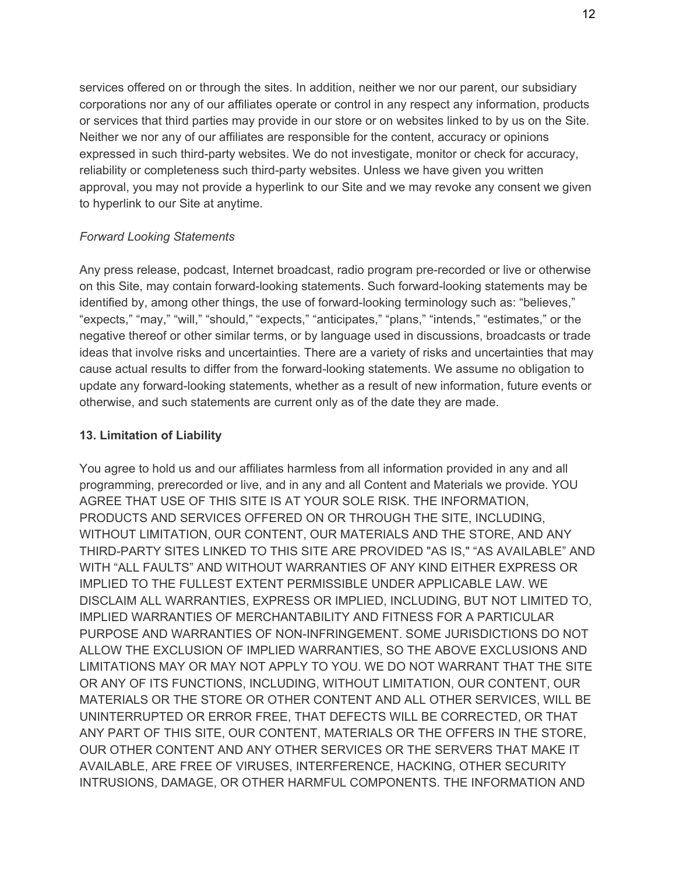services offered on or through the sites. In addition, neither we nor our parent, our subsidiary corporations nor any of our affiliates operate or control in any respect any information, products or services that third parties may provide in our store or on websites linked to by us on the Site. Neither we nor any of our affiliates are responsible for the content, accuracy or opinions expressed in such third-party websites. We do not investigate, monitor or check for accuracy, reliability or completeness such third-party websites. Unless we have given you written approval, you may not provide a hyperlink to our Site and we may revoke any consent we given to hyperlink to our Site at anytime.

#### *Forward Looking Statements*

Any press release, podcast, Internet broadcast, radio program pre-recorded or live or otherwise on this Site, may contain forward-looking statements. Such forward-looking statements may be identified by, among other things, the use of forward-looking terminology such as: "believes," "expects," "may," "will," "should," "expects," "anticipates," "plans," "intends," "estimates," or the negative thereof or other similar terms, or by language used in discussions, broadcasts or trade ideas that involve risks and uncertainties. There are a variety of risks and uncertainties that may cause actual results to differ from the forward-looking statements. We assume no obligation to update any forward-looking statements, whether as a result of new information, future events or otherwise, and such statements are current only as of the date they are made.

#### **13. Limitation of Liability**

You agree to hold us and our affiliates harmless from all information provided in any and all programming, prerecorded or live, and in any and all Content and Materials we provide. YOU AGREE THAT USE OF THIS SITE IS AT YOUR SOLE RISK. THE INFORMATION, PRODUCTS AND SERVICES OFFERED ON OR THROUGH THE SITE, INCLUDING, WITHOUT LIMITATION, OUR CONTENT, OUR MATERIALS AND THE STORE, AND ANY THIRD-PARTY SITES LINKED TO THIS SITE ARE PROVIDED "AS IS," "AS AVAILABLE" AND WITH "ALL FAULTS" AND WITHOUT WARRANTIES OF ANY KIND EITHER EXPRESS OR IMPLIED TO THE FULLEST EXTENT PERMISSIBLE UNDER APPLICABLE LAW. WE DISCLAIM ALL WARRANTIES, EXPRESS OR IMPLIED, INCLUDING, BUT NOT LIMITED TO, IMPLIED WARRANTIES OF MERCHANTABILITY AND FITNESS FOR A PARTICULAR PURPOSE AND WARRANTIES OF NON-INFRINGEMENT. SOME JURISDICTIONS DO NOT ALLOW THE EXCLUSION OF IMPLIED WARRANTIES, SO THE ABOVE EXCLUSIONS AND LIMITATIONS MAY OR MAY NOT APPLY TO YOU. WE DO NOT WARRANT THAT THE SITE OR ANY OF ITS FUNCTIONS, INCLUDING, WITHOUT LIMITATION, OUR CONTENT, OUR MATERIALS OR THE STORE OR OTHER CONTENT AND ALL OTHER SERVICES, WILL BE UNINTERRUPTED OR ERROR FREE, THAT DEFECTS WILL BE CORRECTED, OR THAT ANY PART OF THIS SITE, OUR CONTENT, MATERIALS OR THE OFFERS IN THE STORE, OUR OTHER CONTENT AND ANY OTHER SERVICES OR THE SERVERS THAT MAKE IT AVAILABLE, ARE FREE OF VIRUSES, INTERFERENCE, HACKING, OTHER SECURITY INTRUSIONS, DAMAGE, OR OTHER HARMFUL COMPONENTS. THE INFORMATION AND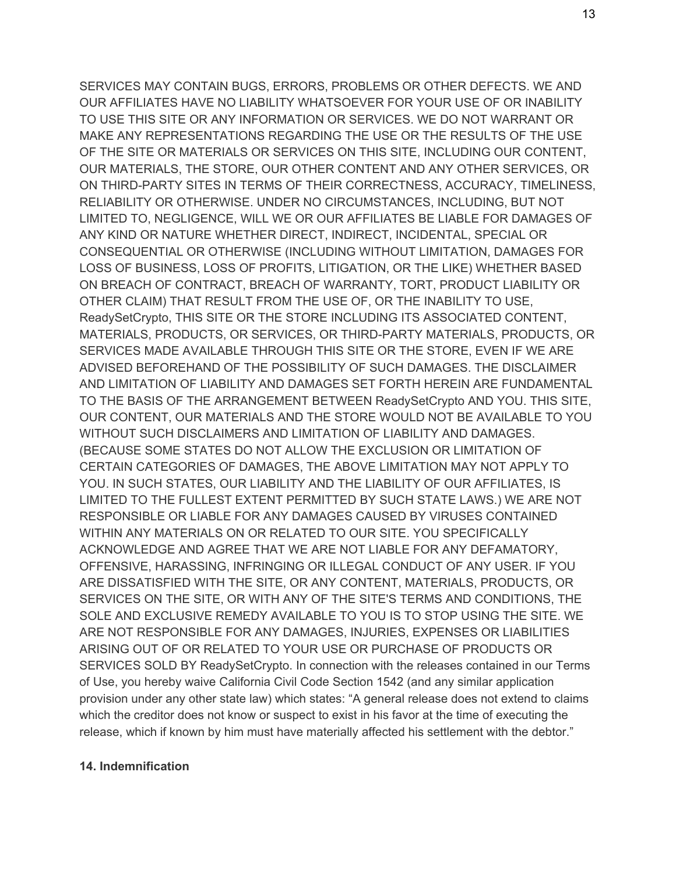SERVICES MAY CONTAIN BUGS, ERRORS, PROBLEMS OR OTHER DEFECTS. WE AND OUR AFFILIATES HAVE NO LIABILITY WHATSOEVER FOR YOUR USE OF OR INABILITY TO USE THIS SITE OR ANY INFORMATION OR SERVICES. WE DO NOT WARRANT OR MAKE ANY REPRESENTATIONS REGARDING THE USE OR THE RESULTS OF THE USE OF THE SITE OR MATERIALS OR SERVICES ON THIS SITE, INCLUDING OUR CONTENT, OUR MATERIALS, THE STORE, OUR OTHER CONTENT AND ANY OTHER SERVICES, OR ON THIRD-PARTY SITES IN TERMS OF THEIR CORRECTNESS, ACCURACY, TIMELINESS, RELIABILITY OR OTHERWISE. UNDER NO CIRCUMSTANCES, INCLUDING, BUT NOT LIMITED TO, NEGLIGENCE, WILL WE OR OUR AFFILIATES BE LIABLE FOR DAMAGES OF ANY KIND OR NATURE WHETHER DIRECT, INDIRECT, INCIDENTAL, SPECIAL OR CONSEQUENTIAL OR OTHERWISE (INCLUDING WITHOUT LIMITATION, DAMAGES FOR LOSS OF BUSINESS, LOSS OF PROFITS, LITIGATION, OR THE LIKE) WHETHER BASED ON BREACH OF CONTRACT, BREACH OF WARRANTY, TORT, PRODUCT LIABILITY OR OTHER CLAIM) THAT RESULT FROM THE USE OF, OR THE INABILITY TO USE, ReadySetCrypto, THIS SITE OR THE STORE INCLUDING ITS ASSOCIATED CONTENT, MATERIALS, PRODUCTS, OR SERVICES, OR THIRD-PARTY MATERIALS, PRODUCTS, OR SERVICES MADE AVAILABLE THROUGH THIS SITE OR THE STORE, EVEN IF WE ARE ADVISED BEFOREHAND OF THE POSSIBILITY OF SUCH DAMAGES. THE DISCLAIMER AND LIMITATION OF LIABILITY AND DAMAGES SET FORTH HEREIN ARE FUNDAMENTAL TO THE BASIS OF THE ARRANGEMENT BETWEEN ReadySetCrypto AND YOU. THIS SITE, OUR CONTENT, OUR MATERIALS AND THE STORE WOULD NOT BE AVAILABLE TO YOU WITHOUT SUCH DISCLAIMERS AND LIMITATION OF LIABILITY AND DAMAGES. (BECAUSE SOME STATES DO NOT ALLOW THE EXCLUSION OR LIMITATION OF CERTAIN CATEGORIES OF DAMAGES, THE ABOVE LIMITATION MAY NOT APPLY TO YOU. IN SUCH STATES, OUR LIABILITY AND THE LIABILITY OF OUR AFFILIATES, IS LIMITED TO THE FULLEST EXTENT PERMITTED BY SUCH STATE LAWS.) WE ARE NOT RESPONSIBLE OR LIABLE FOR ANY DAMAGES CAUSED BY VIRUSES CONTAINED WITHIN ANY MATERIALS ON OR RELATED TO OUR SITE. YOU SPECIFICALLY ACKNOWLEDGE AND AGREE THAT WE ARE NOT LIABLE FOR ANY DEFAMATORY, OFFENSIVE, HARASSING, INFRINGING OR ILLEGAL CONDUCT OF ANY USER. IF YOU ARE DISSATISFIED WITH THE SITE, OR ANY CONTENT, MATERIALS, PRODUCTS, OR SERVICES ON THE SITE, OR WITH ANY OF THE SITE'S TERMS AND CONDITIONS, THE SOLE AND EXCLUSIVE REMEDY AVAILABLE TO YOU IS TO STOP USING THE SITE. WE ARE NOT RESPONSIBLE FOR ANY DAMAGES, INJURIES, EXPENSES OR LIABILITIES ARISING OUT OF OR RELATED TO YOUR USE OR PURCHASE OF PRODUCTS OR SERVICES SOLD BY ReadySetCrypto. In connection with the releases contained in our Terms of Use, you hereby waive California Civil Code Section 1542 (and any similar application provision under any other state law) which states: "A general release does not extend to claims which the creditor does not know or suspect to exist in his favor at the time of executing the release, which if known by him must have materially affected his settlement with the debtor."

#### **14. Indemnification**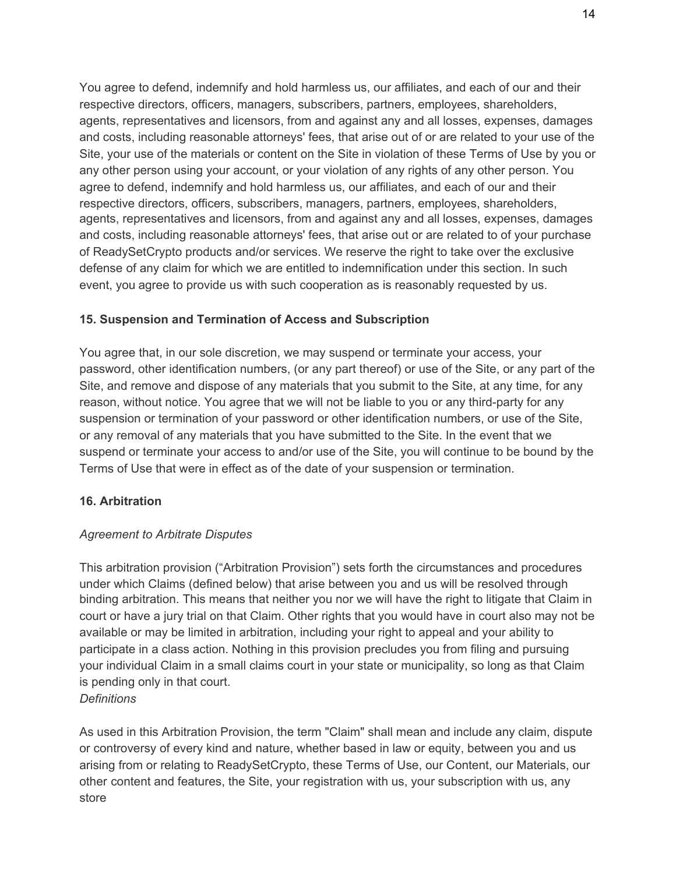You agree to defend, indemnify and hold harmless us, our affiliates, and each of our and their respective directors, officers, managers, subscribers, partners, employees, shareholders, agents, representatives and licensors, from and against any and all losses, expenses, damages and costs, including reasonable attorneys' fees, that arise out of or are related to your use of the Site, your use of the materials or content on the Site in violation of these Terms of Use by you or any other person using your account, or your violation of any rights of any other person. You agree to defend, indemnify and hold harmless us, our affiliates, and each of our and their respective directors, officers, subscribers, managers, partners, employees, shareholders, agents, representatives and licensors, from and against any and all losses, expenses, damages and costs, including reasonable attorneys' fees, that arise out or are related to of your purchase of ReadySetCrypto products and/or services. We reserve the right to take over the exclusive defense of any claim for which we are entitled to indemnification under this section. In such event, you agree to provide us with such cooperation as is reasonably requested by us.

### **15. Suspension and Termination of Access and Subscription**

You agree that, in our sole discretion, we may suspend or terminate your access, your password, other identification numbers, (or any part thereof) or use of the Site, or any part of the Site, and remove and dispose of any materials that you submit to the Site, at any time, for any reason, without notice. You agree that we will not be liable to you or any third-party for any suspension or termination of your password or other identification numbers, or use of the Site, or any removal of any materials that you have submitted to the Site. In the event that we suspend or terminate your access to and/or use of the Site, you will continue to be bound by the Terms of Use that were in effect as of the date of your suspension or termination.

### **16. Arbitration**

### *Agreement to Arbitrate Disputes*

This arbitration provision ("Arbitration Provision") sets forth the circumstances and procedures under which Claims (defined below) that arise between you and us will be resolved through binding arbitration. This means that neither you nor we will have the right to litigate that Claim in court or have a jury trial on that Claim. Other rights that you would have in court also may not be available or may be limited in arbitration, including your right to appeal and your ability to participate in a class action. Nothing in this provision precludes you from filing and pursuing your individual Claim in a small claims court in your state or municipality, so long as that Claim is pending only in that court.

# *Definitions*

As used in this Arbitration Provision, the term "Claim" shall mean and include any claim, dispute or controversy of every kind and nature, whether based in law or equity, between you and us arising from or relating to ReadySetCrypto, these Terms of Use, our Content, our Materials, our other content and features, the Site, your registration with us, your subscription with us, any store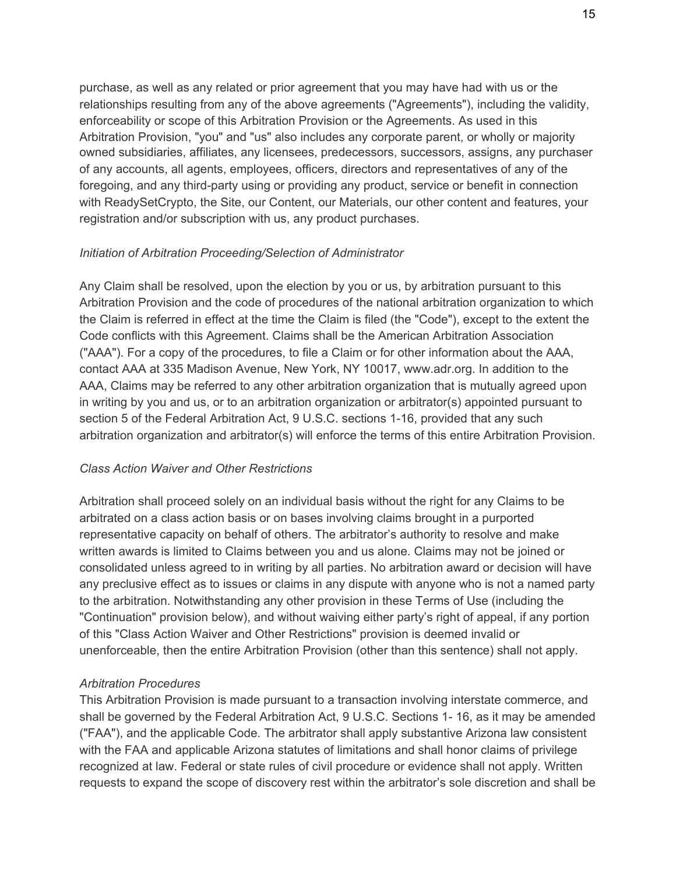purchase, as well as any related or prior agreement that you may have had with us or the relationships resulting from any of the above agreements ("Agreements"), including the validity, enforceability or scope of this Arbitration Provision or the Agreements. As used in this Arbitration Provision, "you" and "us" also includes any corporate parent, or wholly or majority owned subsidiaries, affiliates, any licensees, predecessors, successors, assigns, any purchaser of any accounts, all agents, employees, officers, directors and representatives of any of the foregoing, and any third-party using or providing any product, service or benefit in connection with ReadySetCrypto, the Site, our Content, our Materials, our other content and features, your registration and/or subscription with us, any product purchases.

#### *Initiation of Arbitration Proceeding/Selection of Administrator*

Any Claim shall be resolved, upon the election by you or us, by arbitration pursuant to this Arbitration Provision and the code of procedures of the national arbitration organization to which the Claim is referred in effect at the time the Claim is filed (the "Code"), except to the extent the Code conflicts with this Agreement. Claims shall be the American Arbitration Association ("AAA"). For a copy of the procedures, to file a Claim or for other information about the AAA, contact AAA at 335 Madison Avenue, New York, NY 10017, www.adr.org. In addition to the AAA, Claims may be referred to any other arbitration organization that is mutually agreed upon in writing by you and us, or to an arbitration organization or arbitrator(s) appointed pursuant to section 5 of the Federal Arbitration Act, 9 U.S.C. sections 1-16, provided that any such arbitration organization and arbitrator(s) will enforce the terms of this entire Arbitration Provision.

#### *Class Action Waiver and Other Restrictions*

Arbitration shall proceed solely on an individual basis without the right for any Claims to be arbitrated on a class action basis or on bases involving claims brought in a purported representative capacity on behalf of others. The arbitrator's authority to resolve and make written awards is limited to Claims between you and us alone. Claims may not be joined or consolidated unless agreed to in writing by all parties. No arbitration award or decision will have any preclusive effect as to issues or claims in any dispute with anyone who is not a named party to the arbitration. Notwithstanding any other provision in these Terms of Use (including the "Continuation" provision below), and without waiving either party's right of appeal, if any portion of this "Class Action Waiver and Other Restrictions" provision is deemed invalid or unenforceable, then the entire Arbitration Provision (other than this sentence) shall not apply.

#### *Arbitration Procedures*

This Arbitration Provision is made pursuant to a transaction involving interstate commerce, and shall be governed by the Federal Arbitration Act, 9 U.S.C. Sections 1- 16, as it may be amended ("FAA"), and the applicable Code. The arbitrator shall apply substantive Arizona law consistent with the FAA and applicable Arizona statutes of limitations and shall honor claims of privilege recognized at law. Federal or state rules of civil procedure or evidence shall not apply. Written requests to expand the scope of discovery rest within the arbitrator's sole discretion and shall be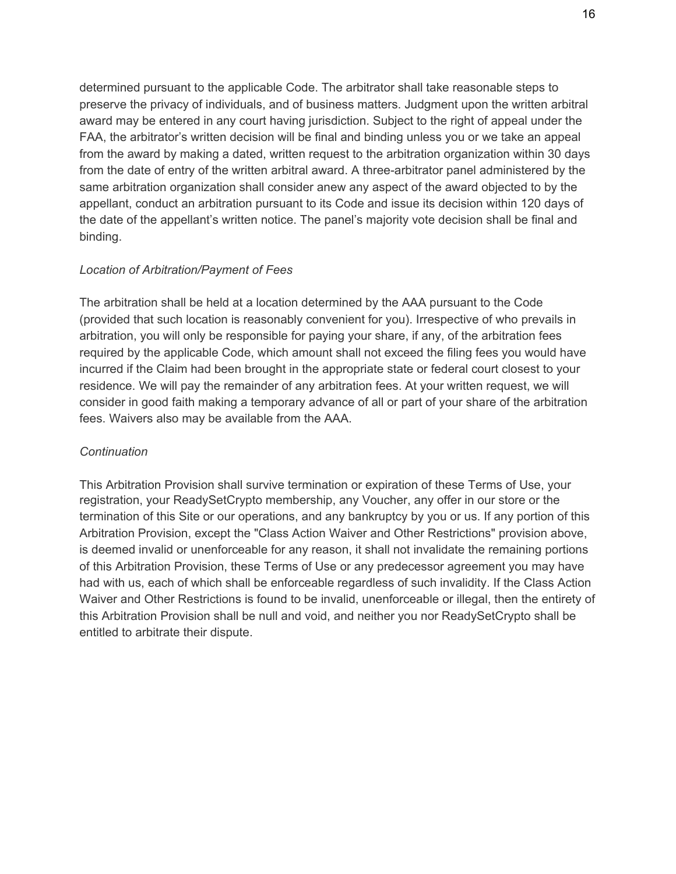determined pursuant to the applicable Code. The arbitrator shall take reasonable steps to preserve the privacy of individuals, and of business matters. Judgment upon the written arbitral award may be entered in any court having jurisdiction. Subject to the right of appeal under the FAA, the arbitrator's written decision will be final and binding unless you or we take an appeal from the award by making a dated, written request to the arbitration organization within 30 days from the date of entry of the written arbitral award. A three-arbitrator panel administered by the same arbitration organization shall consider anew any aspect of the award objected to by the appellant, conduct an arbitration pursuant to its Code and issue its decision within 120 days of the date of the appellant's written notice. The panel's majority vote decision shall be final and binding.

## *Location of Arbitration/Payment of Fees*

The arbitration shall be held at a location determined by the AAA pursuant to the Code (provided that such location is reasonably convenient for you). Irrespective of who prevails in arbitration, you will only be responsible for paying your share, if any, of the arbitration fees required by the applicable Code, which amount shall not exceed the filing fees you would have incurred if the Claim had been brought in the appropriate state or federal court closest to your residence. We will pay the remainder of any arbitration fees. At your written request, we will consider in good faith making a temporary advance of all or part of your share of the arbitration fees. Waivers also may be available from the AAA.

### *Continuation*

This Arbitration Provision shall survive termination or expiration of these Terms of Use, your registration, your ReadySetCrypto membership, any Voucher, any offer in our store or the termination of this Site or our operations, and any bankruptcy by you or us. If any portion of this Arbitration Provision, except the "Class Action Waiver and Other Restrictions" provision above, is deemed invalid or unenforceable for any reason, it shall not invalidate the remaining portions of this Arbitration Provision, these Terms of Use or any predecessor agreement you may have had with us, each of which shall be enforceable regardless of such invalidity. If the Class Action Waiver and Other Restrictions is found to be invalid, unenforceable or illegal, then the entirety of this Arbitration Provision shall be null and void, and neither you nor ReadySetCrypto shall be entitled to arbitrate their dispute.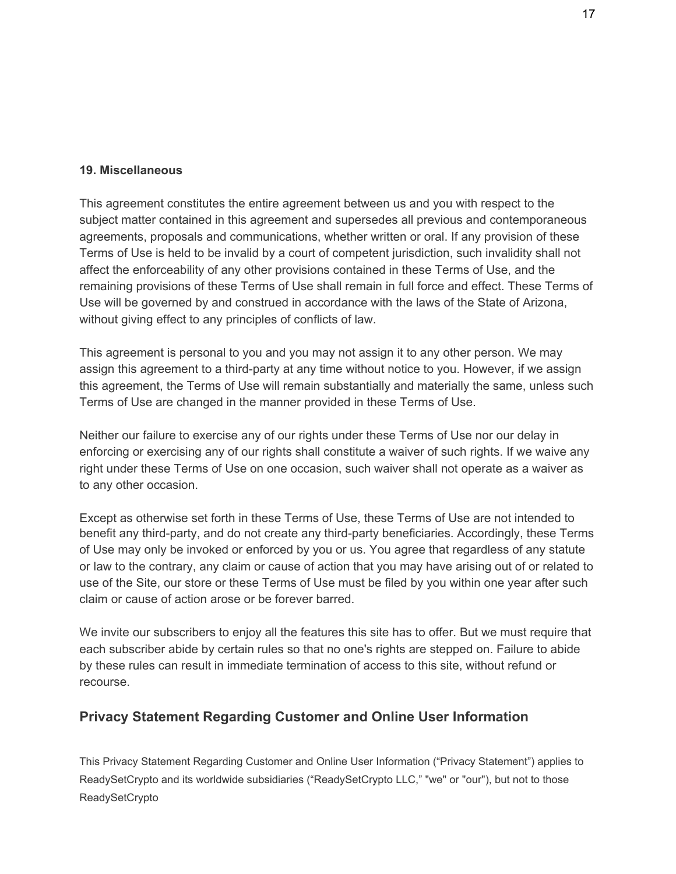### **19. Miscellaneous**

This agreement constitutes the entire agreement between us and you with respect to the subject matter contained in this agreement and supersedes all previous and contemporaneous agreements, proposals and communications, whether written or oral. If any provision of these Terms of Use is held to be invalid by a court of competent jurisdiction, such invalidity shall not affect the enforceability of any other provisions contained in these Terms of Use, and the remaining provisions of these Terms of Use shall remain in full force and effect. These Terms of Use will be governed by and construed in accordance with the laws of the State of Arizona, without giving effect to any principles of conflicts of law.

This agreement is personal to you and you may not assign it to any other person. We may assign this agreement to a third-party at any time without notice to you. However, if we assign this agreement, the Terms of Use will remain substantially and materially the same, unless such Terms of Use are changed in the manner provided in these Terms of Use.

Neither our failure to exercise any of our rights under these Terms of Use nor our delay in enforcing or exercising any of our rights shall constitute a waiver of such rights. If we waive any right under these Terms of Use on one occasion, such waiver shall not operate as a waiver as to any other occasion.

Except as otherwise set forth in these Terms of Use, these Terms of Use are not intended to benefit any third-party, and do not create any third-party beneficiaries. Accordingly, these Terms of Use may only be invoked or enforced by you or us. You agree that regardless of any statute or law to the contrary, any claim or cause of action that you may have arising out of or related to use of the Site, our store or these Terms of Use must be filed by you within one year after such claim or cause of action arose or be forever barred.

We invite our subscribers to enjoy all the features this site has to offer. But we must require that each subscriber abide by certain rules so that no one's rights are stepped on. Failure to abide by these rules can result in immediate termination of access to this site, without refund or recourse.

# **Privacy Statement Regarding Customer and Online User Information**

This Privacy Statement Regarding Customer and Online User Information ("Privacy Statement") applies to ReadySetCrypto and its worldwide subsidiaries ("ReadySetCrypto LLC," "we" or "our"), but not to those **ReadySetCrypto**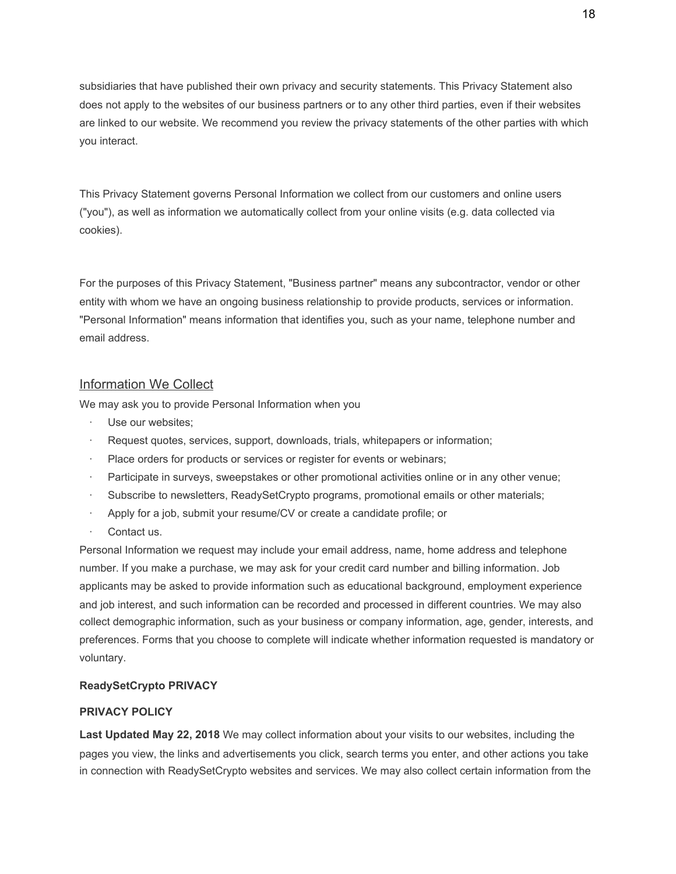subsidiaries that have published their own privacy and security statements. This Privacy Statement also does not apply to the websites of our business partners or to any other third parties, even if their websites are linked to our website. We recommend you review the privacy statements of the other parties with which you interact.

This Privacy Statement governs Personal Information we collect from our customers and online users ("you"), as well as information we automatically collect from your online visits (e.g. data collected via cookies).

For the purposes of this Privacy Statement, "Business partner" means any subcontractor, vendor or other entity with whom we have an ongoing business relationship to provide products, services or information. "Personal Information" means information that identifies you, such as your name, telephone number and email address.

### Information We Collect

We may ask you to provide Personal Information when you

- Use our websites:
- Request quotes, services, support, downloads, trials, whitepapers or information;
- Place orders for products or services or register for events or webinars;
- · Participate in surveys, sweepstakes or other promotional activities online or in any other venue;
- Subscribe to newsletters, ReadySetCrypto programs, promotional emails or other materials;
- Apply for a job, submit your resume/CV or create a candidate profile; or
- Contact us.

Personal Information we request may include your email address, name, home address and telephone number. If you make a purchase, we may ask for your credit card number and billing information. Job applicants may be asked to provide information such as educational background, employment experience and job interest, and such information can be recorded and processed in different countries. We may also collect demographic information, such as your business or company information, age, gender, interests, and preferences. Forms that you choose to complete will indicate whether information requested is mandatory or voluntary.

#### **ReadySetCrypto PRIVACY**

#### **PRIVACY POLICY**

**Last Updated May 22, 2018** We may collect information about your visits to our websites, including the pages you view, the links and advertisements you click, search terms you enter, and other actions you take in connection with ReadySetCrypto websites and services. We may also collect certain information from the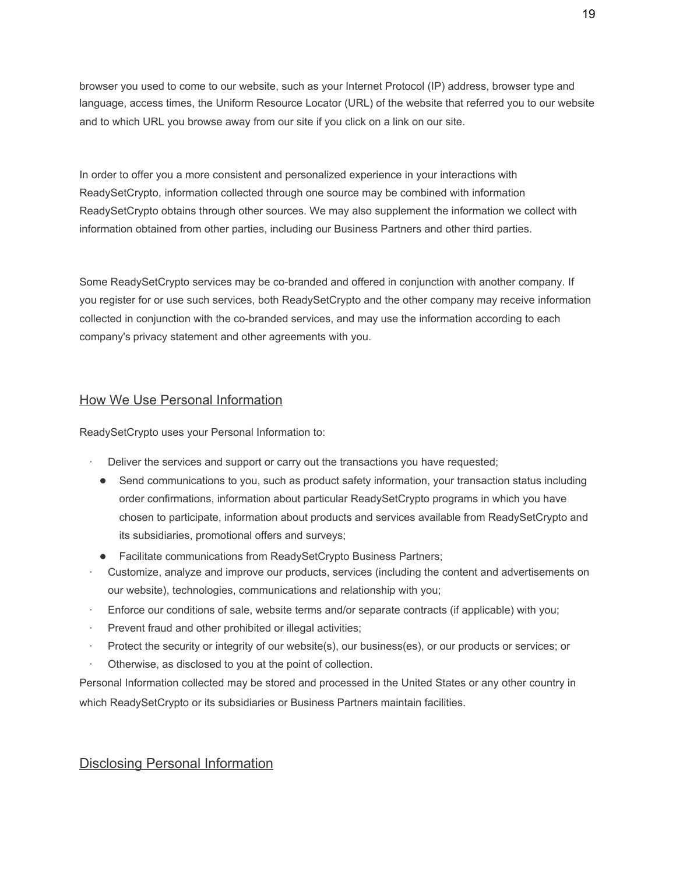browser you used to come to our website, such as your Internet Protocol (IP) address, browser type and language, access times, the Uniform Resource Locator (URL) of the website that referred you to our website and to which URL you browse away from our site if you click on a link on our site.

In order to offer you a more consistent and personalized experience in your interactions with ReadySetCrypto, information collected through one source may be combined with information ReadySetCrypto obtains through other sources. We may also supplement the information we collect with information obtained from other parties, including our Business Partners and other third parties.

Some ReadySetCrypto services may be co-branded and offered in conjunction with another company. If you register for or use such services, both ReadySetCrypto and the other company may receive information collected in conjunction with the co-branded services, and may use the information according to each company's privacy statement and other agreements with you.

### How We Use Personal Information

ReadySetCrypto uses your Personal Information to:

- · Deliver the services and support or carry out the transactions you have requested;
	- Send communications to you, such as product safety information, your transaction status including order confirmations, information about particular ReadySetCrypto programs in which you have chosen to participate, information about products and services available from ReadySetCrypto and its subsidiaries, promotional offers and surveys;
- Facilitate communications from ReadySetCrypto Business Partners;
- Customize, analyze and improve our products, services (including the content and advertisements on our website), technologies, communications and relationship with you;
- Enforce our conditions of sale, website terms and/or separate contracts (if applicable) with you;
- Prevent fraud and other prohibited or illegal activities;
- Protect the security or integrity of our website(s), our business(es), or our products or services; or
- Otherwise, as disclosed to you at the point of collection.

Personal Information collected may be stored and processed in the United States or any other country in which ReadySetCrypto or its subsidiaries or Business Partners maintain facilities.

### Disclosing Personal Information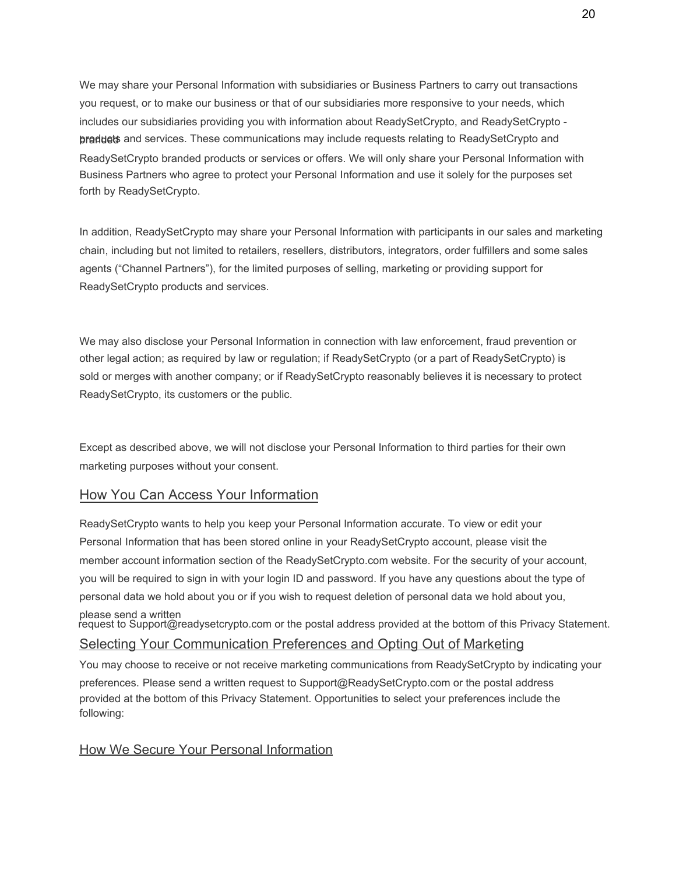We may share your Personal Information with subsidiaries or Business Partners to carry out transactions you request, or to make our business or that of our subsidiaries more responsive to your needs, which includes our subsidiaries providing you with information about ReadySetCrypto, and ReadySetCrypto braddets and services. These communications may include requests relating to ReadySetCrypto and ReadySetCrypto branded products or services or offers. We will only share your Personal Information with Business Partners who agree to protect your Personal Information and use it solely for the purposes set forth by ReadySetCrypto.

In addition, ReadySetCrypto may share your Personal Information with participants in our sales and marketing chain, including but not limited to retailers, resellers, distributors, integrators, order fulfillers and some sales agents ("Channel Partners"), for the limited purposes of selling, marketing or providing support for ReadySetCrypto products and services.

We may also disclose your Personal Information in connection with law enforcement, fraud prevention or other legal action; as required by law or regulation; if ReadySetCrypto (or a part of ReadySetCrypto) is sold or merges with another company; or if ReadySetCrypto reasonably believes it is necessary to protect ReadySetCrypto, its customers or the public.

Except as described above, we will not disclose your Personal Information to third parties for their own marketing purposes without your consent.

# How You Can Access Your Information

ReadySetCrypto wants to help you keep your Personal Information accurate. To view or edit your Personal Information that has been stored online in your ReadySetCrypto account, please visit the member account information section of the ReadySetCrypto.com website. For the security of your account, you will be required to sign in with your login ID and password. If you have any questions about the type of personal data we hold about you or if you wish to request deletion of personal data we hold about you, please send a written request to Support@readysetcrypto.com or the postal address provided at the bottom of this Privacy Statement. Selecting Your Communication Preferences and Opting Out of Marketing

You may choose to receive or not receive marketing communications from ReadySetCrypto by indicating your preferences. Please send a written request to Support@ReadySetCrypto.com or the postal address provided at the bottom of this Privacy Statement. Opportunities to select your preferences include the following:

### How We Secure Your Personal Information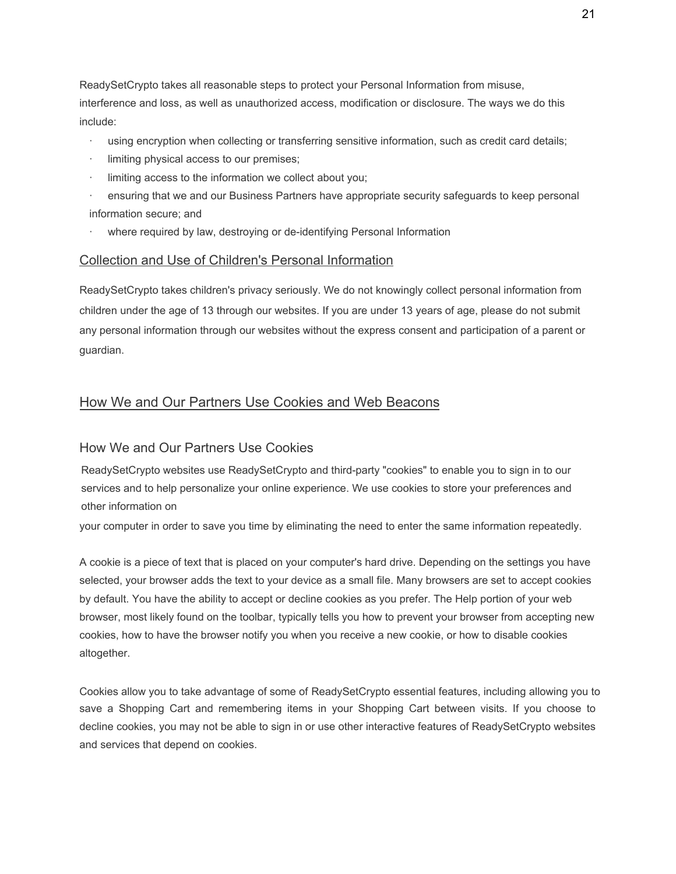ReadySetCrypto takes all reasonable steps to protect your Personal Information from misuse, interference and loss, as well as unauthorized access, modification or disclosure. The ways we do this include:

- using encryption when collecting or transferring sensitive information, such as credit card details;
- limiting physical access to our premises;
- limiting access to the information we collect about you;
- · ensuring that we and our Business Partners have appropriate security safeguards to keep personal information secure; and
- where required by law, destroying or de-identifying Personal Information

#### Collection and Use of Children's Personal Information

ReadySetCrypto takes children's privacy seriously. We do not knowingly collect personal information from children under the age of 13 through our websites. If you are under 13 years of age, please do not submit any personal information through our websites without the express consent and participation of a parent or guardian.

#### How We and Our Partners Use Cookies and Web Beacons

#### How We and Our Partners Use Cookies

ReadySetCrypto websites use ReadySetCrypto and third-party "cookies" to enable you to sign in to our services and to help personalize your online experience. We use cookies to store your preferences and other information on

your computer in order to save you time by eliminating the need to enter the same information repeatedly.

A cookie is a piece of text that is placed on your computer's hard drive. Depending on the settings you have selected, your browser adds the text to your device as a small file. Many browsers are set to accept cookies by default. You have the ability to accept or decline cookies as you prefer. The Help portion of your web browser, most likely found on the toolbar, typically tells you how to prevent your browser from accepting new cookies, how to have the browser notify you when you receive a new cookie, or how to disable cookies altogether.

Cookies allow you to take advantage of some of ReadySetCrypto essential features, including allowing you to save a Shopping Cart and remembering items in your Shopping Cart between visits. If you choose to decline cookies, you may not be able to sign in or use other interactive features of ReadySetCrypto websites and services that depend on cookies.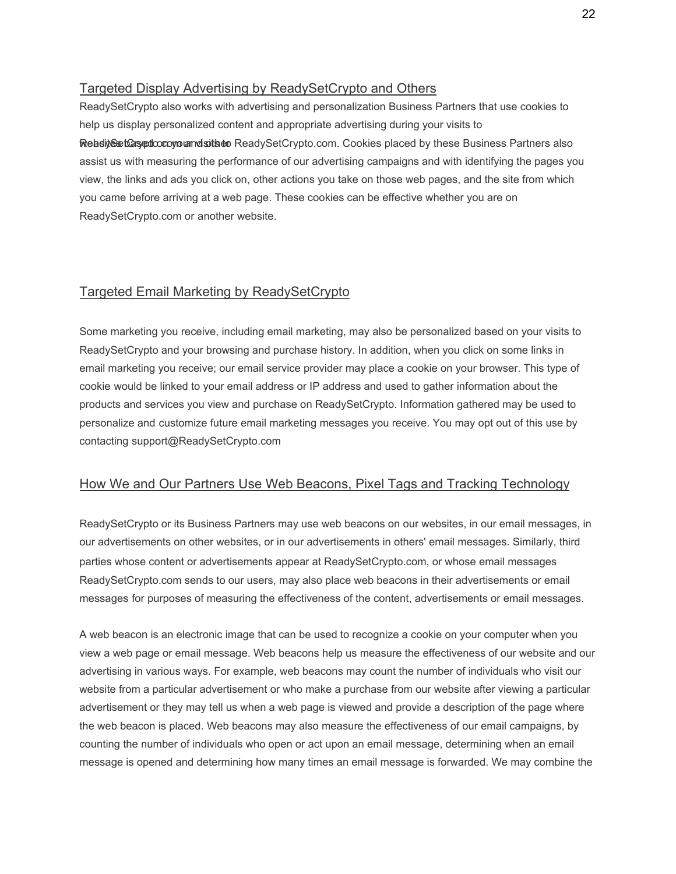# Targeted Display Advertising by ReadySetCrypto and Others

ReadySetCrypto also works with advertising and personalization Business Partners that use cookies to help us display personalized content and appropriate advertising during your visits to Website to a settlocon we want state of ReadySetCrypto.com. Cookies placed by these Business Partners also assist us with measuring the performance of our advertising campaigns and with identifying the pages you view, the links and ads you click on, other actions you take on those web pages, and the site from which you came before arriving at a web page. These cookies can be effective whether you are on ReadySetCrypto.com or another website.

### Targeted Email Marketing by ReadySetCrypto

Some marketing you receive, including email marketing, may also be personalized based on your visits to ReadySetCrypto and your browsing and purchase history. In addition, when you click on some links in email marketing you receive; our email service provider may place a cookie on your browser. This type of cookie would be linked to your email address or IP address and used to gather information about the products and services you view and purchase on ReadySetCrypto. Information gathered may be used to personalize and customize future email marketing messages you receive. You may opt out of this use by contacting support@ReadySetCrypto.com

### How We and Our Partners Use Web Beacons, Pixel Tags and Tracking Technology

ReadySetCrypto or its Business Partners may use web beacons on our websites, in our email messages, in our advertisements on other websites, or in our advertisements in others' email messages. Similarly, third parties whose content or advertisements appear at ReadySetCrypto.com, or whose email messages ReadySetCrypto.com sends to our users, may also place web beacons in their advertisements or email messages for purposes of measuring the effectiveness of the content, advertisements or email messages.

A web beacon is an electronic image that can be used to recognize a cookie on your computer when you view a web page or email message. Web beacons help us measure the effectiveness of our website and our advertising in various ways. For example, web beacons may count the number of individuals who visit our website from a particular advertisement or who make a purchase from our website after viewing a particular advertisement or they may tell us when a web page is viewed and provide a description of the page where the web beacon is placed. Web beacons may also measure the effectiveness of our email campaigns, by counting the number of individuals who open or act upon an email message, determining when an email message is opened and determining how many times an email message is forwarded. We may combine the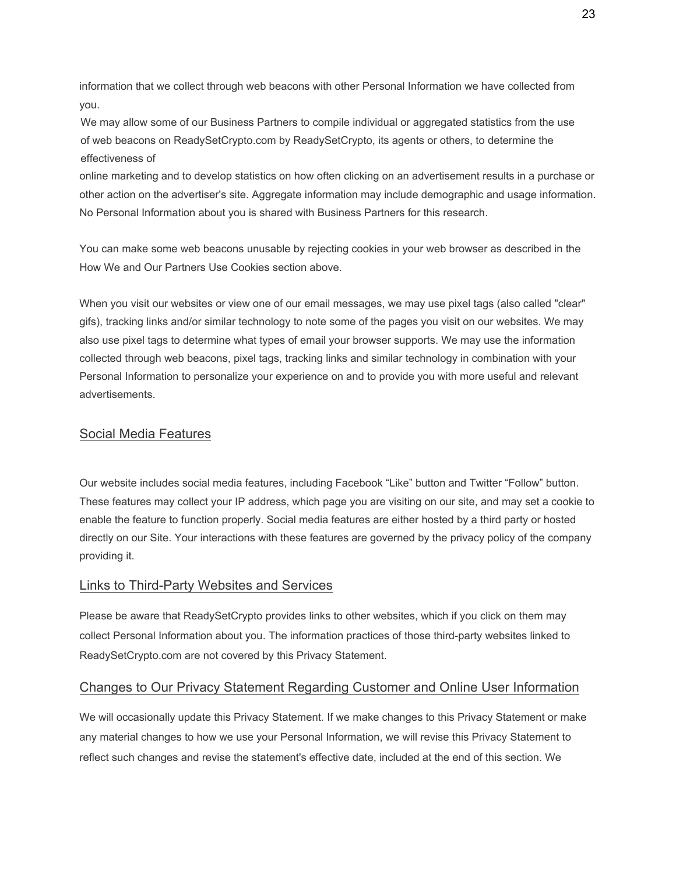information that we collect through web beacons with other Personal Information we have collected from you.

We may allow some of our Business Partners to compile individual or aggregated statistics from the use of web beacons on ReadySetCrypto.com by ReadySetCrypto, its agents or others, to determine the effectiveness of

online marketing and to develop statistics on how often clicking on an advertisement results in a purchase or other action on the advertiser's site. Aggregate information may include demographic and usage information. No Personal Information about you is shared with Business Partners for this research.

You can make some web beacons unusable by rejecting cookies in your web browser as described in the How We and Our Partners Use Cookies section above.

When you visit our websites or view one of our email messages, we may use pixel tags (also called "clear" gifs), tracking links and/or similar technology to note some of the pages you visit on our websites. We may also use pixel tags to determine what types of email your browser supports. We may use the information collected through web beacons, pixel tags, tracking links and similar technology in combination with your Personal Information to personalize your experience on and to provide you with more useful and relevant advertisements.

### Social Media Features

Our website includes social media features, including Facebook "Like" button and Twitter "Follow" button. These features may collect your IP address, which page you are visiting on our site, and may set a cookie to enable the feature to function properly. Social media features are either hosted by a third party or hosted directly on our Site. Your interactions with these features are governed by the privacy policy of the company providing it.

# Links to Third-Party Websites and Services

Please be aware that ReadySetCrypto provides links to other websites, which if you click on them may collect Personal Information about you. The information practices of those third-party websites linked to ReadySetCrypto.com are not covered by this Privacy Statement.

# Changes to Our Privacy Statement Regarding Customer and Online User Information

We will occasionally update this Privacy Statement. If we make changes to this Privacy Statement or make any material changes to how we use your Personal Information, we will revise this Privacy Statement to reflect such changes and revise the statement's effective date, included at the end of this section. We